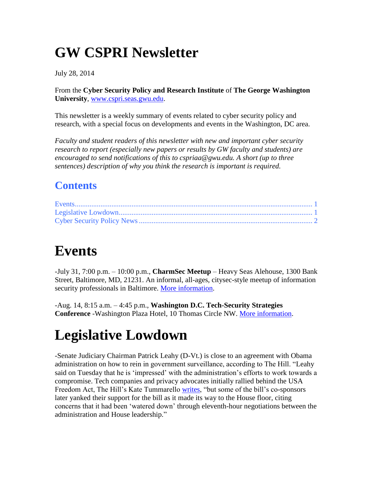# **GW CSPRI Newsletter**

July 28, 2014

From the **Cyber Security Policy and Research Institute** of **The George Washington University**, [www.cspri.seas.gwu.edu.](http://www.cspri.seas.gwu.edu/)

This newsletter is a weekly summary of events related to cyber security policy and research, with a special focus on developments and events in the Washington, DC area.

*Faculty and student readers of this newsletter with new and important cyber security research to report (especially new papers or results by GW faculty and students) are encouraged to send notifications of this to cspriaa@gwu.edu. A short (up to three sentences) description of why you think the research is important is required.*

#### **Contents**

## <span id="page-0-0"></span>**Events**

-July 31, 7:00 p.m. – 10:00 p.m., **CharmSec Meetup** – Heavy Seas Alehouse, 1300 Bank Street, Baltimore, MD, 21231. An informal, all-ages, citysec-style meetup of information security professionals in Baltimore. [More information.](http://charmsec.org/)

-Aug. 14, 8:15 a.m. – 4:45 p.m., **Washington D.C. Tech-Security Strategies Conference** -Washington Plaza Hotel, 10 Thomas Circle NW. [More information.](http://www.dataconnectors.com/events/2014/08DC/agenda.asp)

# <span id="page-0-1"></span>**Legislative Lowdown**

-Senate Judiciary Chairman Patrick Leahy (D-Vt.) is close to an agreement with Obama administration on how to rein in government surveillance, according to The Hill. "Leahy said on Tuesday that he is 'impressed' with the administration's efforts to work towards a compromise. Tech companies and privacy advocates initially rallied behind the USA Freedom Act, The Hill's Kate Tummarello [writes,](http://thehill.com/policy/technology/213030-leahy-administration-within-inches-of-surveillance-reform-deal) "but some of the bill's co-sponsors later yanked their support for the bill as it made its way to the House floor, citing concerns that it had been 'watered down' through eleventh-hour negotiations between the administration and House leadership."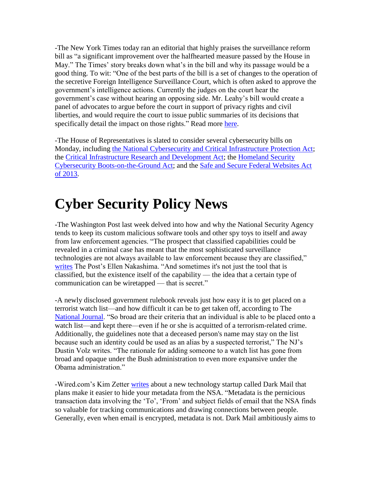-The New York Times today ran an editorial that highly praises the surveillance reform bill as "a significant improvement over the [halfhearted measure passed by the House](http://www.nytimes.com/2014/05/23/us/politics/house-votes-to-limit-nsas-collection-of-phone-data.html) in May." The Times' story breaks down what's in the bill and why its passage would be a good thing. To wit: "One of the best parts of the bill is a set of changes to the operation of the secretive Foreign Intelligence Surveillance Court, which is often asked to approve the government's intelligence actions. Currently the judges on the court hear the government's case without hearing an opposing side. Mr. Leahy's bill would create a panel of advocates to argue before the court in support of privacy rights and civil liberties, and would require the court to issue public summaries of its decisions that specifically detail the impact on those rights." Read more [here.](http://www.nytimes.com/2014/07/28/opinion/a-stronger-bill-to-limit-surveillance.html?hp&action=click&pgtype=Homepage&module=c-column-top-span-region®ion=c-column-top-span-region&WT.nav=c-column-top-span-region&_r=1&assetType=opinion)

-The House of Representatives is slated to consider several cybersecurity bills on Monday, including [the National Cybersecurity and Critical Infrastructure Protection Act;](http://thomas.loc.gov/cgi-bin/bdquery/z?d113:hr.03696:) the [Critical Infrastructure Research and Development Act;](http://thomas.loc.gov/cgi-bin/bdquery/z?d113:hr.02952:) the [Homeland Security](http://thomas.loc.gov/cgi-bin/bdquery/z?d113:h.r.3107:)  [Cybersecurity Boots-on-the-Ground Act;](http://thomas.loc.gov/cgi-bin/bdquery/z?d113:h.r.3107:) and the [Safe and Secure Federal Websites Act](http://thomas.loc.gov/cgi-bin/query/z?c113:H.R.+3635:)  [of 2013.](http://thomas.loc.gov/cgi-bin/query/z?c113:H.R.+3635:)

### <span id="page-1-0"></span>**Cyber Security Policy News**

-The Washington Post last week delved into how and why the National Security Agency tends to keep its custom malicious software tools and other spy toys to itself and away from law enforcement agencies. "The prospect that classified capabilities could be revealed in a criminal case has meant that the most sophisticated surveillance technologies are not always available to law enforcement because they are classified," [writes](http://www.washingtonpost.com/blogs/the-switch/wp/2014/07/25/how-the-nsa-keeps-its-toys-from-law-enforcement/?hpid=z15) The Post's Ellen Nakashima. "And sometimes it's not just the tool that is classified, but the existence itself of the capability — the idea that a certain type of communication can be wiretapped — that is secret."

-A newly disclosed government rulebook reveals just how easy it is to get placed on a terrorist watch list—and how difficult it can be to get taken off, according to The [National Journal.](http://www.nationaljournal.com/tech/why-the-nsa-keeps-tracking-people-even-after-they-re-dead-20140723) "So broad are their criteria that an individual is able to be placed onto a watch list—and kept there—even if he or she is acquitted of a terrorism-related crime. Additionally, the guidelines note that a deceased person's name may stay on the list because such an identity could be used as an alias by a suspected terrorist," The NJ's Dustin Volz writes. "The rationale for adding someone to a watch list has gone from broad and opaque under the Bush administration to even more expansive under the Obama administration."

-Wired.com's Kim Zetter [writes](http://www.wired.com/2014/07/dark-mail-hides-metadata-from-nsa/) about a new technology startup called Dark Mail that plans make it easier to hide your metadata from the NSA. "Metadata is the pernicious transaction data involving the 'To', 'From' and subject fields of email that the NSA finds so valuable for tracking communications and drawing connections between people. Generally, even when email is encrypted, metadata is not. Dark Mail ambitiously aims to